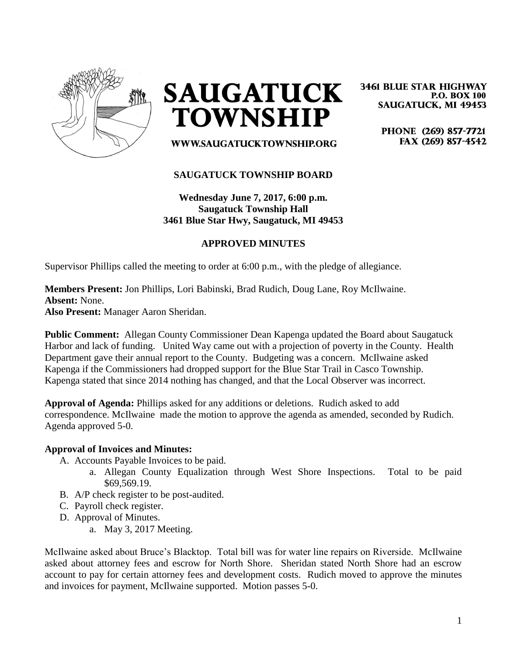

**SAUGATUCK TOWNSHIP** 

**3461 BLUE STAR HIGHWAY P.O. BOX 100 SAUGATUCK, MI 49453** 

> PHONE (269) 857-7721 FAX (269) 857-4542

WWW.SAUGATUCKTOWNSHIP.ORG

### **SAUGATUCK TOWNSHIP BOARD**

**Wednesday June 7, 2017, 6:00 p.m. Saugatuck Township Hall 3461 Blue Star Hwy, Saugatuck, MI 49453**

# **APPROVED MINUTES**

Supervisor Phillips called the meeting to order at 6:00 p.m., with the pledge of allegiance.

### **Members Present:** Jon Phillips, Lori Babinski, Brad Rudich, Doug Lane, Roy McIlwaine. **Absent:** None. **Also Present:** Manager Aaron Sheridan.

**Public Comment:** Allegan County Commissioner Dean Kapenga updated the Board about Saugatuck Harbor and lack of funding. United Way came out with a projection of poverty in the County. Health Department gave their annual report to the County. Budgeting was a concern. McIlwaine asked Kapenga if the Commissioners had dropped support for the Blue Star Trail in Casco Township. Kapenga stated that since 2014 nothing has changed, and that the Local Observer was incorrect.

**Approval of Agenda:** Phillips asked for any additions or deletions. Rudich asked to add correspondence. McIlwaine made the motion to approve the agenda as amended, seconded by Rudich. Agenda approved 5-0.

#### **Approval of Invoices and Minutes:**

- A. Accounts Payable Invoices to be paid.
	- a. Allegan County Equalization through West Shore Inspections. Total to be paid \$69,569.19.
- B. A/P check register to be post-audited.
- C. Payroll check register.
- D. Approval of Minutes.
	- a. May 3, 2017 Meeting.

McIlwaine asked about Bruce's Blacktop. Total bill was for water line repairs on Riverside. McIlwaine asked about attorney fees and escrow for North Shore. Sheridan stated North Shore had an escrow account to pay for certain attorney fees and development costs. Rudich moved to approve the minutes and invoices for payment, McIlwaine supported. Motion passes 5-0.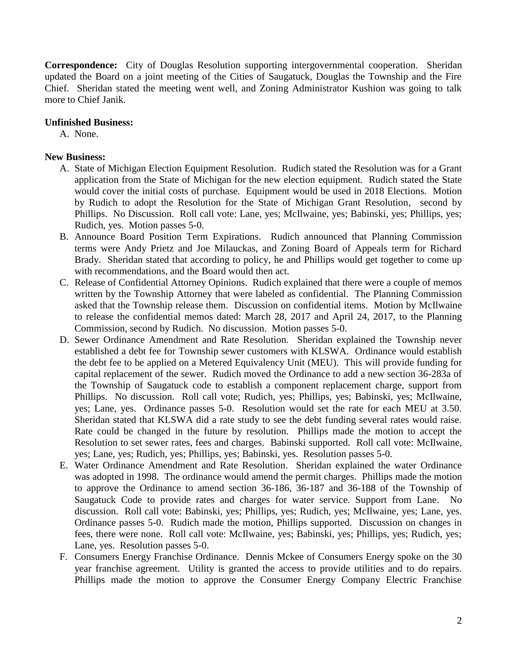**Correspondence:** City of Douglas Resolution supporting intergovernmental cooperation. Sheridan updated the Board on a joint meeting of the Cities of Saugatuck, Douglas the Township and the Fire Chief. Sheridan stated the meeting went well, and Zoning Administrator Kushion was going to talk more to Chief Janik.

# **Unfinished Business:**

A. None.

# **New Business:**

- A. State of Michigan Election Equipment Resolution. Rudich stated the Resolution was for a Grant application from the State of Michigan for the new election equipment. Rudich stated the State would cover the initial costs of purchase. Equipment would be used in 2018 Elections. Motion by Rudich to adopt the Resolution for the State of Michigan Grant Resolution, second by Phillips. No Discussion. Roll call vote: Lane, yes; McIlwaine, yes; Babinski, yes; Phillips, yes; Rudich, yes. Motion passes 5-0.
- B. Announce Board Position Term Expirations. Rudich announced that Planning Commission terms were Andy Prietz and Joe Milauckas, and Zoning Board of Appeals term for Richard Brady. Sheridan stated that according to policy, he and Phillips would get together to come up with recommendations, and the Board would then act.
- C. Release of Confidential Attorney Opinions. Rudich explained that there were a couple of memos written by the Township Attorney that were labeled as confidential. The Planning Commission asked that the Township release them. Discussion on confidential items. Motion by McIlwaine to release the confidential memos dated: March 28, 2017 and April 24, 2017, to the Planning Commission, second by Rudich. No discussion. Motion passes 5-0.
- D. Sewer Ordinance Amendment and Rate Resolution. Sheridan explained the Township never established a debt fee for Township sewer customers with KLSWA. Ordinance would establish the debt fee to be applied on a Metered Equivalency Unit (MEU). This will provide funding for capital replacement of the sewer. Rudich moved the Ordinance to add a new section 36-283a of the Township of Saugatuck code to establish a component replacement charge, support from Phillips. No discussion. Roll call vote; Rudich, yes; Phillips, yes; Babinski, yes; McIlwaine, yes; Lane, yes. Ordinance passes 5-0. Resolution would set the rate for each MEU at 3.50. Sheridan stated that KLSWA did a rate study to see the debt funding several rates would raise. Rate could be changed in the future by resolution. Phillips made the motion to accept the Resolution to set sewer rates, fees and charges. Babinski supported. Roll call vote: McIlwaine, yes; Lane, yes; Rudich, yes; Phillips, yes; Babinski, yes. Resolution passes 5-0.
- E. Water Ordinance Amendment and Rate Resolution. Sheridan explained the water Ordinance was adopted in 1998. The ordinance would amend the permit charges. Phillips made the motion to approve the Ordinance to amend section 36-186, 36-187 and 36-188 of the Township of Saugatuck Code to provide rates and charges for water service. Support from Lane. No discussion. Roll call vote: Babinski, yes; Phillips, yes; Rudich, yes; McIlwaine, yes; Lane, yes. Ordinance passes 5-0. Rudich made the motion, Phillips supported. Discussion on changes in fees, there were none. Roll call vote: McIlwaine, yes; Babinski, yes; Phillips, yes; Rudich, yes; Lane, yes. Resolution passes 5-0.
- F. Consumers Energy Franchise Ordinance. Dennis Mckee of Consumers Energy spoke on the 30 year franchise agreement. Utility is granted the access to provide utilities and to do repairs. Phillips made the motion to approve the Consumer Energy Company Electric Franchise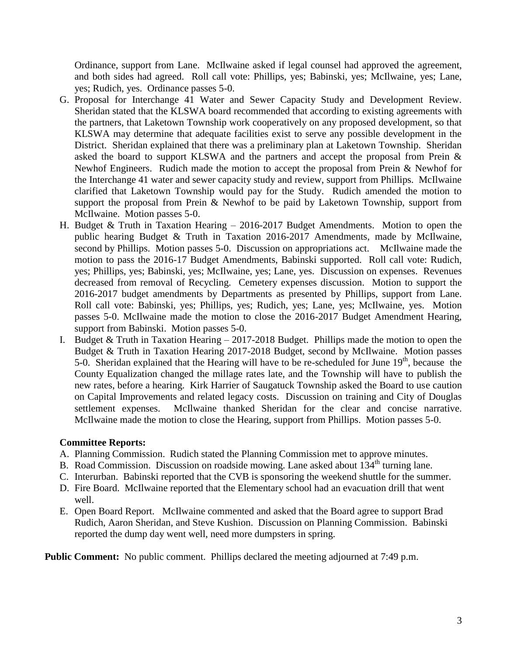Ordinance, support from Lane. McIlwaine asked if legal counsel had approved the agreement, and both sides had agreed. Roll call vote: Phillips, yes; Babinski, yes; McIlwaine, yes; Lane, yes; Rudich, yes. Ordinance passes 5-0.

- G. Proposal for Interchange 41 Water and Sewer Capacity Study and Development Review. Sheridan stated that the KLSWA board recommended that according to existing agreements with the partners, that Laketown Township work cooperatively on any proposed development, so that KLSWA may determine that adequate facilities exist to serve any possible development in the District. Sheridan explained that there was a preliminary plan at Laketown Township. Sheridan asked the board to support KLSWA and the partners and accept the proposal from Prein & Newhof Engineers. Rudich made the motion to accept the proposal from Prein & Newhof for the Interchange 41 water and sewer capacity study and review, support from Phillips. McIlwaine clarified that Laketown Township would pay for the Study. Rudich amended the motion to support the proposal from Prein & Newhof to be paid by Laketown Township, support from McIlwaine. Motion passes 5-0.
- H. Budget & Truth in Taxation Hearing 2016-2017 Budget Amendments. Motion to open the public hearing Budget & Truth in Taxation 2016-2017 Amendments, made by McIlwaine, second by Phillips. Motion passes 5-0. Discussion on appropriations act. McIlwaine made the motion to pass the 2016-17 Budget Amendments, Babinski supported. Roll call vote: Rudich, yes; Phillips, yes; Babinski, yes; McIlwaine, yes; Lane, yes. Discussion on expenses. Revenues decreased from removal of Recycling. Cemetery expenses discussion. Motion to support the 2016-2017 budget amendments by Departments as presented by Phillips, support from Lane. Roll call vote: Babinski, yes; Phillips, yes; Rudich, yes; Lane, yes; McIlwaine, yes. Motion passes 5-0. McIlwaine made the motion to close the 2016-2017 Budget Amendment Hearing, support from Babinski. Motion passes 5-0.
- I. Budget  $&$  Truth in Taxation Hearing 2017-2018 Budget. Phillips made the motion to open the Budget & Truth in Taxation Hearing 2017-2018 Budget, second by McIlwaine. Motion passes 5-0. Sheridan explained that the Hearing will have to be re-scheduled for June  $19<sup>th</sup>$ , because the County Equalization changed the millage rates late, and the Township will have to publish the new rates, before a hearing. Kirk Harrier of Saugatuck Township asked the Board to use caution on Capital Improvements and related legacy costs. Discussion on training and City of Douglas settlement expenses. McIlwaine thanked Sheridan for the clear and concise narrative. McIlwaine made the motion to close the Hearing, support from Phillips. Motion passes 5-0.

### **Committee Reports:**

- A. Planning Commission. Rudich stated the Planning Commission met to approve minutes.
- B. Road Commission. Discussion on roadside mowing. Lane asked about 134<sup>th</sup> turning lane.
- C. Interurban. Babinski reported that the CVB is sponsoring the weekend shuttle for the summer.
- D. Fire Board. McIlwaine reported that the Elementary school had an evacuation drill that went well.
- E. Open Board Report. McIlwaine commented and asked that the Board agree to support Brad Rudich, Aaron Sheridan, and Steve Kushion. Discussion on Planning Commission. Babinski reported the dump day went well, need more dumpsters in spring.

**Public Comment:** No public comment. Phillips declared the meeting adjourned at 7:49 p.m.